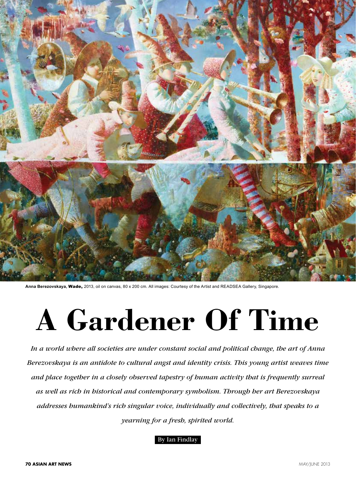

**Anna Berezovskaya,** Wade, 2013, oil on canvas, 80 x 200 cm. All images: Courtesy of the Artist and READSEA Gallery, Singapore.

## **A Gardener Of Time**

*In a world where all societies are under constant social and political change, the art of Anna Berezovskaya is an antidote to cultural angst and identity crisis. This young artist weaves time and place together in a closely observed tapestry of human activity that is frequently surreal as well as rich in historical and contemporary symbolism. Through her art Berezovskaya addresses humankind's rich singular voice, individually and collectively, that speaks to a yearning for a fresh, spirited world.*

## By Ian Findlay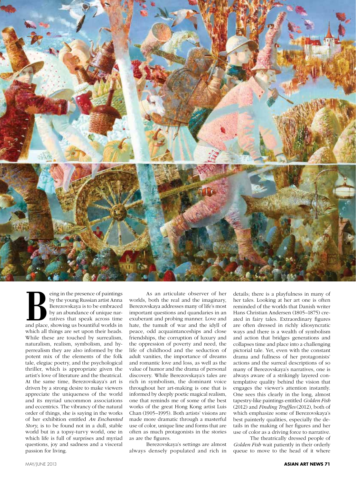

Example in the presence of paintings<br>by the young Russian artist Anna<br>Berezovskaya is to be embraced<br>by an abundance of unique nar-<br>ratives that speak across time<br>and place showing us bountiful worlds in by the young Russian artist Anna Berezovskaya is to be embraced by an abundance of unique narratives that speak across time and place, showing us bountiful worlds in which all things are set upon their heads. While these are touched by surrealism, naturalism, realism, symbolism, and hyperrealism they are also informed by the potent mix of the elements of the folk tale, elegiac poetry, and the psychological thriller, which is appropriate given the artist's love of literature and the theatrical. At the same time, Berezovskaya's art is driven by a strong desire to make viewers appreciate the uniqueness of the world and its myriad uncommon associations and eccentrics. The vibrancy of the natural order of things, she is saying in the works of her exhibition entitled *An Enchanted Story*, is to be found not in a dull, stable world but in a topsy-turvy world, one in which life is full of surprises and myriad questions, joy and sadness and a visceral passion for living.

As an articulate observer of her worlds, both the real and the imaginary, Berezovskaya addresses many of life's most important questions and quandaries in an exuberant and probing manner. Love and hate, the tumult of war and the idyll of peace, odd acquaintanceships and close friendships, the corruption of luxury and the oppression of poverty and need, the life of childhood and the seduction of adult vanities, the importance of dreams and romantic love and loss, as well as the value of humor and the drama of personal discovery. While Berezovskaya's tales are rich in symbolism, the dominant voice throughout her art-making is one that is informed by deeply poetic magical realism, one that reminds me of some of the best works of the great Hong Kong artist Luis Chan (1905–1995). Both artists' visions are made more dramatic through a masterful use of color, unique line and forms that are often as much protagonists in the stories as are the figures.

Berezovskaya's settings are almost always densely populated and rich in details; there is a playfulness in many of her tales. Looking at her art one is often reminded of the worlds that Danish writer Hans Christian Andersen (1805–1875) created in fairy tales. Extraordinary figures are often dressed in richly idiosyncratic ways and there is a wealth of symbolism and action that bridges generations and collapses time and place into a challenging pictorial tale. Yet, even with the constant drama and fullness of her protagonists' actions and the surreal descriptions of so many of Berezovskaya's narratives, one is always aware of a strikingly layered contemplative quality behind the vision that engages the viewer's attention instantly. One sees this clearly in the long, almost tapestry-like paintings entitled *Golden Fish* (2012) and *Finding Truffles* (2012), both of which emphasize some of Berezovskaya's best painterly qualities, especially the details in the making of her figures and her use of color as a driving force to narrative.

The theatrically dressed people of *Golden Fish* wait patiently in their orderly queue to move to the head of it where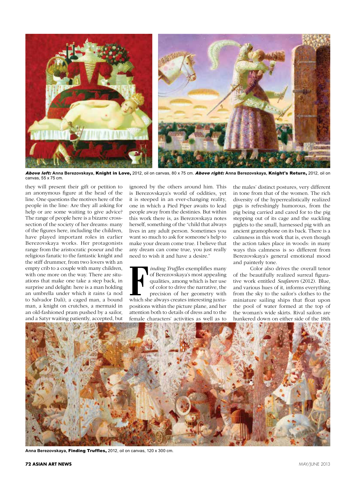

Above left: **Anna Berezovskaya,** Knight in Love, 2012, oil on canvas, 80 x 75 cm. Above right: **Anna Berezovskaya,** Knight's Return, 2012, oil on canvas, 55 x 75 cm.

they will present their gift or petition to an anonymous figure at the head of the line. One questions the motives here of the people in the line: Are they all asking for help or are some waiting to give advice? The range of people here is a bizarre crosssection of the society of her dreams: many of the figures here, including the children, have played important roles in earlier Berezovskaya works. Her protagonists range from the aristocratic poseur and the religious fanatic to the fantastic knight and the stiff drummer, from two lovers with an empty crib to a couple with many children, with one more on the way. There are situations that make one take a step back, in surprise and delight: here is a man holding an umbrella under which it rains (a nod to Salvador Dali), a caged man, a bound man, a knight on crutches, a mermaid in an old-fashioned pram pushed by a sailor, and a Satyr waiting patiently, accepted, but ignored by the others around him. This is Berezovskaya's world of oddities, yet it is steeped in an ever-changing reality, one in which a Pied Piper awaits to lead people away from the destinies. But within this work there is, as Berezovskaya notes herself, something of the "child that always lives in any adult person. Sometimes you want so much to ask for someone's help to make your dream come true. I believe that any dream can come true, you just really need to wish it and have a desire."

**Follow Truffles exemplifies many**<br>of Berezovskaya's most appealing<br>qualities, among which is her use<br>of color to drive the narrative, the<br>precision of her geometry with<br>which she always creates interesting inxtaof Berezovskaya's most appealing qualities, among which is her use of color to drive the narrative, the precision of her geometry with which she always creates interesting juxtapositions within the picture plane, and her attention both to details of dress and to the female characters' activities as well as to

the males' distinct postures, very different in tone from that of the women. The rich diversity of the hyperrealistically realized pigs is refreshingly humorous, from the pig being carried and cared for to the pig stepping out of its cage and the suckling piglets to the small, harnessed pig with an ancient gramophone on its back. There is a calmness in this work that is, even though the action takes place in woods: in many ways this calmness is so different from Berezovskaya's general emotional mood and painterly tone.

Color also drives the overall tenor of the beautifully realized surreal figurative work entitled *Seafarers* (2012). Blue, and various hues of it, informs everything from the sky to the sailor's clothes to the miniature sailing ships that float upon the pool of water formed at the top of the woman's wide skirts. Rival sailors are hunkered down on either side of the 18th



**Anna Berezovskaya,** Finding Truffles, 2012, oil on canvas, 120 x 300 cm.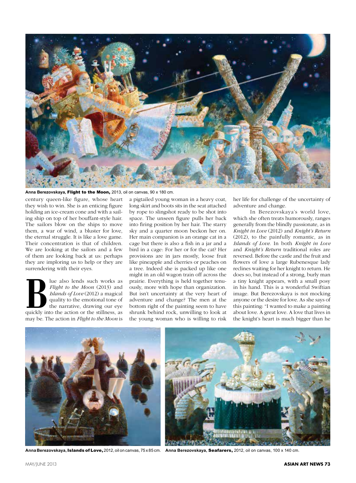

**Anna Berezovskaya,** Flight to the Moon, 2013, oil on canvas, 90 x 180 cm.

century queen-like figure, whose heart they wish to win. She is an enticing figure holding an ice-cream cone and with a sailing ship on top of her bouffant-style hair. The sailors blow on the ships to move them, a war of wind, a bluster for love, the eternal struggle. It is like a love game. Their concentration is that of children. We are looking at the sailors and a few of them are looking back at us: perhaps they are imploring us to help or they are surrendering with their eyes.

**Blue also lends such works as** *Flight to the Moon* **(2013) and** *Islands of Love* **(2012) a magical quality to the emotional tone of the narrative, drawing our eye quickly into the action or the stillness, as** *Flight to the Moon* (2013) and *Islands of Love* (2012) a magical quality to the emotional tone of the narrative, drawing our eye may be. The action in *Flight to the Moon* is

a pigtailed young woman in a heavy coat, long skirt and boots sits in the seat attached by rope to slingshot ready to be shot into space. The unseen figure pulls her back into firing position by her hair. The starry sky and a quarter moon beckon her on. Her main companion is an orange cat in a cage but there is also a fish in a jar and a bird in a cage: For her or for the cat? Her provisions are in jars mostly, loose fruit like pineapple and cherries or peaches on a tree. Indeed she is packed up like one might in an old wagon train off across the prairie. Everything is held together tenuously, more with hope than organization. But isn't uncertainty at the very heart of adventure and change? The men at the bottom right of the painting seem to have shrunk behind rock, unwilling to look at the young woman who is willing to risk

her life for challenge of the uncertainty of adventure and change.

In Berezovskaya's world love, which she often treats humorously, ranges generally from the blindly passionate, as in *Knight in Love* (2012) and *Knight's Return*  (2012), to the painfully romantic, as in *Islands of Love*. In both *Knight in Love* and *Knight's Return* traditional roles are reversed. Before the castle and the fruit and flowers of love a large Rubenesque lady reclines waiting for her knight to return. He does so, but instead of a strong, burly man a tiny knight appears, with a small posy in his hand. This is a wonderful Swiftian image. But Berezovskaya is not mocking anyone or the desire for love. As she says of this painting: "I wanted to make a painting about love. A great love. A love that lives in the knight's heart is much bigger than he





**Anna Berezovskaya, Islands of Love,** 2012, oil on canvas, 75 x 85 cm. **Anna Berezovskaya, Seafarers,** 2012, oil on canvas, 100 x 140 cm.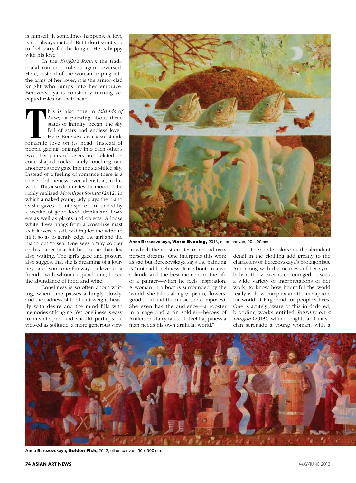is himself. It sometimes happens. A love is not always mutual. But I don't want you to feel sorry for the knight. He is happy with his love."

In the *Knight's Return* the traditional romantic role is again reversed. Here, instead of the woman leaping into the arms of her lover, it is the armor-clad knight who jumps into her embrace. Berezovskaya is constantly turning accepted roles on their head.

This is also true in *Islands of Love*, "a painting about three states of infinity: ocean, the sky full of stars and endless love." Here Berezovskaya also stands romantic love on its head. Instead of *Love*, "a painting about three states of infinity: ocean, the sky full of stars and endless love." Here Berezovskaya also stands romantic love on its head. Instead of people gazing longingly into each other's eyes, her pairs of lovers are isolated on cone-shaped rocks barely touching one another as they gaze into the star-filled sky. Instead of a feeling of romance there is a sense of aloneness, even alienation, in this work. This also dominates the mood of the richly realized *Moonlight Sonata* (2012) in which a naked young lady plays the piano as she gazes off into space surrounded by a wealth of good food, drinks and flowers as well as plants and objects. A loose white dress hangs from a cross-like mast as if it were a sail, waiting for the wind to fill it so as to gently edge the girl and the piano out to sea. One sees a tiny soldier on his paper boat hitched to the chair leg also waiting. The girl's gaze and posture also suggest that she is dreaming of a journey or of someone faraway—a lover or a friend—with whom to spend time, hence the abundance of food and wine.

Loneliness is so often about waiting, when time passes achingly slowly, and the sadness of the heart weighs heavily with desire and the mind fills with memories of longing. Yet loneliness is easy to misinterpret and should perhaps be viewed as solitude, a more generous view



**Anna Berezovskaya,** Warm Evening, 2013, oil on canvas, 90 x 90 cm.

in which the artist creates or an ordinary person dreams. One interprets this work as sad but Berezovskaya says the painting is "not sad loneliness. It is about creative solitude and the best moment in the life of a painter—when he feels inspiration. A woman in a boat is surrounded by the 'world' she takes along (a piano, flowers, good food and the music she composes). She even has the audience—a rooster in a cage and a tin soldier—heroes of Andersen's fairy tales. To feel happiness a man needs his own artificial world."

The subtle colors and the abundant detail in the clothing add greatly to the characters of Berezovskaya's protagonists. And along with the richness of her symbolism the viewer is encouraged to seek a wide variety of interpretations of her work, to know how bountiful the world really is, how complex are the metaphors for world at large and for people's lives. One is acutely aware of this in dark-red, brooding works entitled *Journey on a Dragon* (2013), where knights and musician serenade a young woman, with a



**Anna Berezovskaya,** Golden Fish, 2012, oil on canvas, 50 x 300 cm.